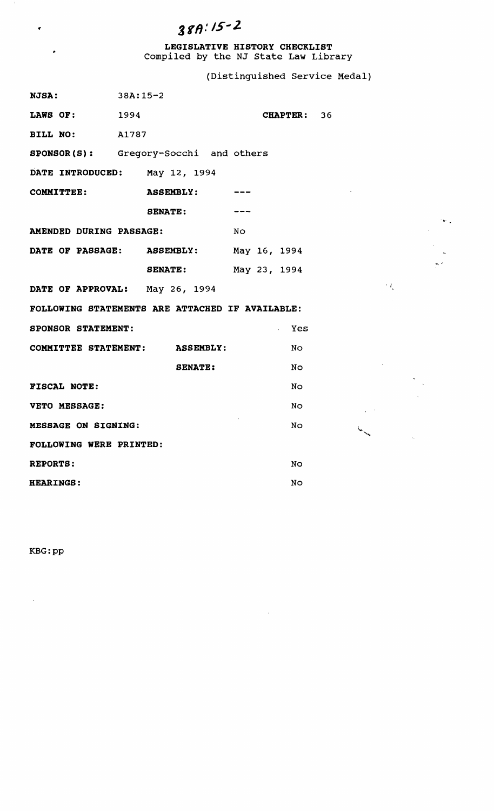# $387:15-2$

**LEGISLATIVE HISTORY CHECKLIST**  Compiled by the NJ state Law Library

(Distinguished Service Medal)

 $\mathbb{R}^{\mathbb{R}}$ 

 $\hat{\mathbf{v}}$ 

 $\overline{\phantom{a}}$ 

 $\mathcal{O}(\mathbf{w})$  .

| NJSA:                                           | $38A:15-2$                              |             |                             |
|-------------------------------------------------|-----------------------------------------|-------------|-----------------------------|
| LAWS OF: 1994                                   |                                         | CHAPTER: 36 |                             |
| <b>BILL NO:</b> A1787                           |                                         |             |                             |
|                                                 | SPONSOR(S): Gregory-Socchi and others   |             |                             |
| DATE INTRODUCED: May 12, 1994                   |                                         |             |                             |
| COMMITTEE:                                      | <b>ASSEMBLY:</b>                        |             |                             |
|                                                 | <b>SENATE:</b>                          |             |                             |
| AMENDED DURING PASSAGE:                         |                                         | No          |                             |
|                                                 | DATE OF PASSAGE: ASSEMBLY: May 16, 1994 |             |                             |
|                                                 | <b>SENATE:</b> May 23, 1994             |             |                             |
|                                                 | DATE OF APPROVAL: May 26, 1994          |             | $\mathcal{F}(\mathcal{E})$  |
| FOLLOWING STATEMENTS ARE ATTACHED IF AVAILABLE: |                                         |             |                             |
| <b>SPONSOR STATEMENT:</b>                       |                                         | . Yes       |                             |
|                                                 | COMMITTEE STATEMENT: ASSEMBLY:          | No.         |                             |
|                                                 | <b>SENATE:</b>                          | No.         |                             |
| <b>FISCAL NOTE:</b>                             |                                         | No.         |                             |
| VETO MESSAGE:                                   |                                         | No.         |                             |
| MESSAGE ON SIGNING:                             |                                         | No.         | $\mathcal{L}_{\mathcal{N}}$ |
| FOLLOWING WERE PRINTED:                         |                                         |             |                             |
| <b>REPORTS:</b>                                 |                                         | No.         |                             |
| <b>HEARINGS:</b>                                |                                         | <b>No</b>   |                             |

 $\mathcal{A}^{\mathcal{A}}$ 

KBG:pp

 $\Delta \phi$ 

 $\langle 0 \rangle$ 

 $\bullet$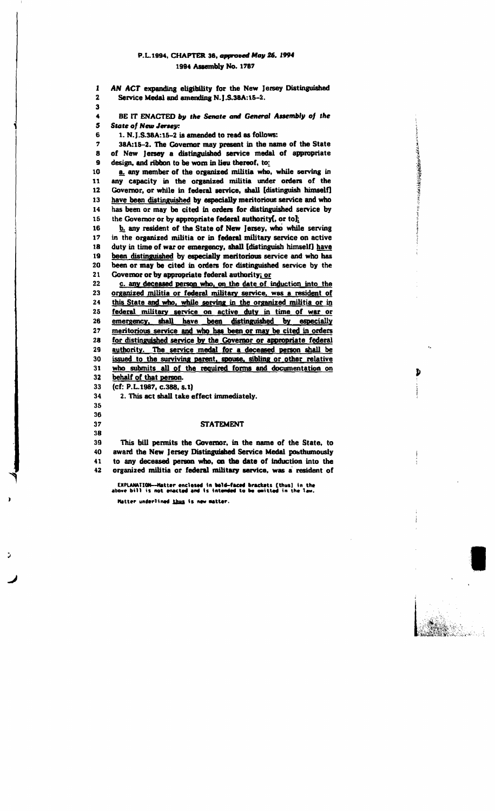### P.L.1994, CHAPTER 36, approved May 26, 1994 1994 Assembly No. 1787

AN ACT expanding eligibility for the New Jersey Distinguished  $\mathbf{I}$ Service Medal and amending N.J.S.38A:15-2.  $\overline{\mathbf{2}}$  $\overline{\mathbf{3}}$ BE IT ENACTED by the Senate and General Assembly of the  $\ddot{\phantom{a}}$  $\overline{\mathbf{5}}$ **State of New Jersey:** 6 1. N.J.S.38A:15-2 is amended to read as follows: 38A:15-2. The Governor may present in the name of the State 7  $\mathbf{a}$ of New Jersey a distinguished service medal of appropriate  $\boldsymbol{9}$ design, and ribbon to be worn in lieu thereof, to: a. any member of the organized militia who, while serving in  $10$ 11 any capacity in the organized militia under orders of the  $12$ Governor, or while in federal service, shall [distinguish himself] 13 have been distinguished by especially meritorious service and who has been or may be cited in orders for distinguished service by 14 the Governor or by appropriate federal authority[, or to]; 15 b. any resident of the State of New Jersey, who while serving 16  $17$ in the organized militia or in federal military service on active 18 duty in time of war or emergency, shall [distinguish himself] have 19 been distinguished by especially meritorious service and who has 20 been or may be cited in orders for distinguished service by the  $21$ Governor or by appropriate federal authority; or 22 c. any deceased person who, on the date of induction into the 23 organized militia or federal military service, was a resident of 24 this State and who, while serving in the organized militia or in 25 federal military service on active duty in time of war or 26 emergency, shall have been distinguished by especially meritorious service and who has been or may be cited in orders 27  $28$ for distinguished service by the Governor or appropriate federal authority. The service medal for a deceased person shall be  $29$ 30 issued to the surviving parent, spouse, sibling or other relative 31 who submits all of the required forms and documentation on 32 behalf of that person. (cf: P.L.1987, c.388, s.1) 33 34 2. This act shall take effect immediately. 35 36 37 **STATEMENT**  $3B$ 39 This bill permits the Governor, in the name of the State, to award the New Jersey Distinguished Service Medal posthumously 40 to any deceased person who, on the date of induction into the 41

いいいのかいときにものところをするところに

Ð

EXPLANATION--Matter enclosed in bold-faced brackets [thus] in the<br>above bill is not enacted and is intended to be omitted in the law. Matter underlined thus is new matter.

organized militia or federal military service, was a resident of

42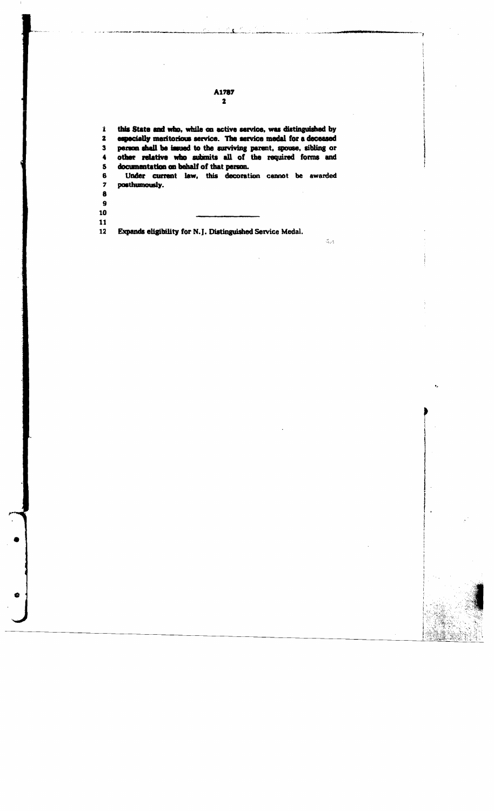$\mathbf{1}$ this State and who, while on active service, was distinguished by  $\overline{\mathbf{2}}$ especially meritorious service. The service medal for a deceased person shall be insued to the surviving parent, spouse, sibling or other relative who submits all of the required forms and  $\mathbf{3}$  $\ddot{\bullet}$  $\mathbf S$ documentation on behalf of that person. Under current law, this decoration cannot be awarded 6  $\overline{\mathbf{z}}$ posthumously.  $\bullet$ 

 $\frac{1}{2}$  .

A1787  $\mathbf{2}$ 

 $\boldsymbol{9}$  $\mathbf{10}$  $\mathbf{11}$ 

Expands eligibility for N.J. Distinguished Service Medal.  $12$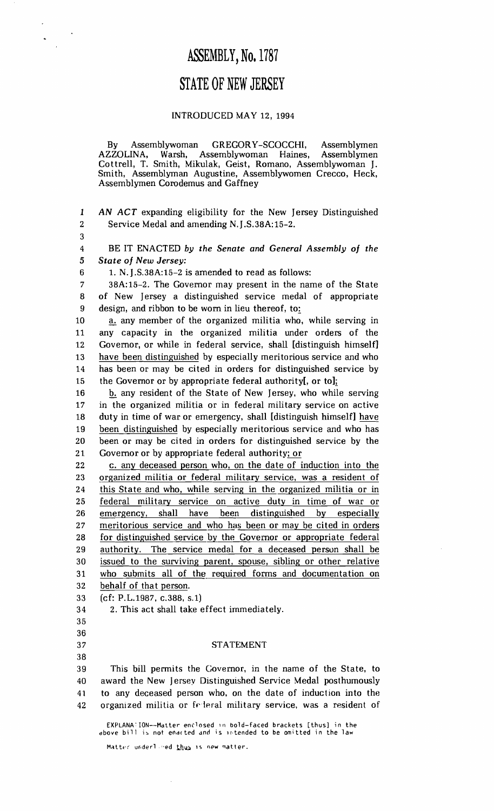### **ASSEMBLY,** No. 1787

## **STATE OF NEW JERSEY**

### INTRODUCED MAY 12, 1994

By Assemblywoman GREGORY-SCOCCHI, Assemblymen Assemblywoman Haines, Cottrell, T. Smith, Mikulak, Geist, Romano, Assemblywoman J. Smith, Assemblyman Augustine, Assemblywomen Crecco, Heck, Assemblymen Corodemus and Gaffney

1 AN ACT expanding eligibility for the New Jersey Distinguished 2 Service Medal and amending N.} .S.38A:15-2.

3

4 BE IT ENACTED *by the Senate and General Assembly of the 5 State of New Jersey:* 

6 1. N.} .S. 38A:15-2 is amended to read as follows:

7 38A:15-2. The Governor may present in the name of the State 8 of New }ersey a distinguished service medal of appropriate 9 design, and ribbon to be worn in lieu thereof, to:

10 a. any member of the organized militia who, while serving in 11 any capacity in the organized militia under orders of the 12 Governor, or while in federal service, shall [distinguish himself] 13 have been distinguished by especially meritorious service and who 14 has been or may be cited in orders for distinguished service by 15 the Governor or by appropriate federal authority[, or to];

16 b. any resident of the State of New Jersey, who while serving 17 in the organized militia or in federal military service on active 18 duty in time of war or emergency, shall [distinguish himself] have 19 been distinguished by especially meritorious service and who has 20 been or may be cited in orders for distinguished service by the 21 Governor or by appropriate federal authority; or

22 c. any deceased person who, on the date of induction into the 23 organized militia or federal military service, was a resident of 24 this State and who, while serving in the organized militia or in 25 federal military service on active duty in time of war or 26 emergency, shall have been distinguished by especially 27 meritorious service and who has been or may be cited in orders 28 for distinguished service by the Governor or appropriate federal 29 authority. The service medal for a deceased persun shall be 30 issued to the surviving parent, spouse, sibling or other relative 31 who submits all of the\_ required forms and documentation on 32 behalf of that person.

33 (cf: P.L.1987, c.388, s.l)

34 2. This act shall take effect immediately.

38

35 36

#### 37 STATEMENT

39 This bill permits the Governor, in the name of the State, to 40 award the New Jersey Distinguished Service Medal posthumously 41 to any deceased person who, on the date of induction into the 42 organized militia or feleral military service, was a resident of

EXPLANA: ION--Matter enclosed in bold-faced brackets [thus] in the above bill is not enacted and is intended to be omitted in the law

Matter underlined thus is new matter.